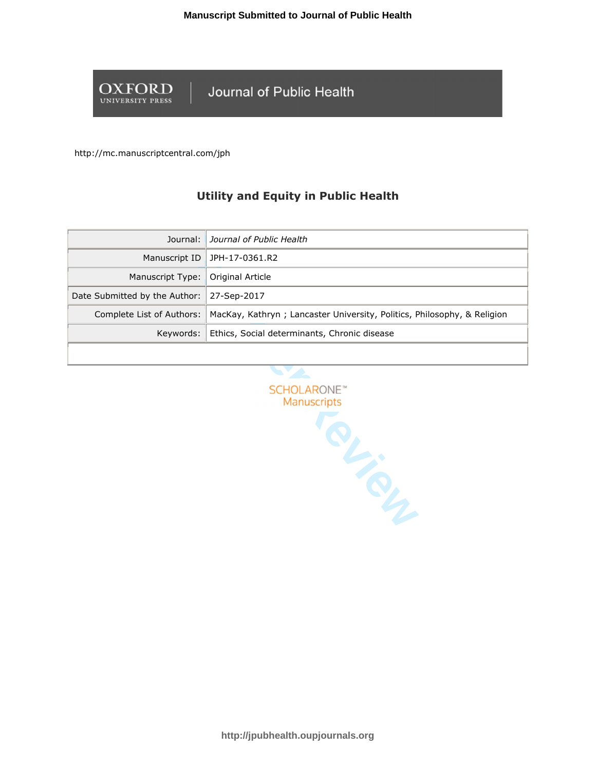

Journal of Public Health

http://mc.manuscriptcentral.com/jph

# **Utility and Equity in Public Health**

| Journal:                            | Journal of Public Health                                                |
|-------------------------------------|-------------------------------------------------------------------------|
| Manuscript ID                       | JPH-17-0361.R2                                                          |
| Manuscript Type:   Original Article |                                                                         |
| Date Submitted by the Author:       | 27-Sep-2017                                                             |
| Complete List of Authors:           | MacKay, Kathryn; Lancaster University, Politics, Philosophy, & Religion |
|                                     | Keywords:   Ethics, Social determinants, Chronic disease                |
|                                     |                                                                         |

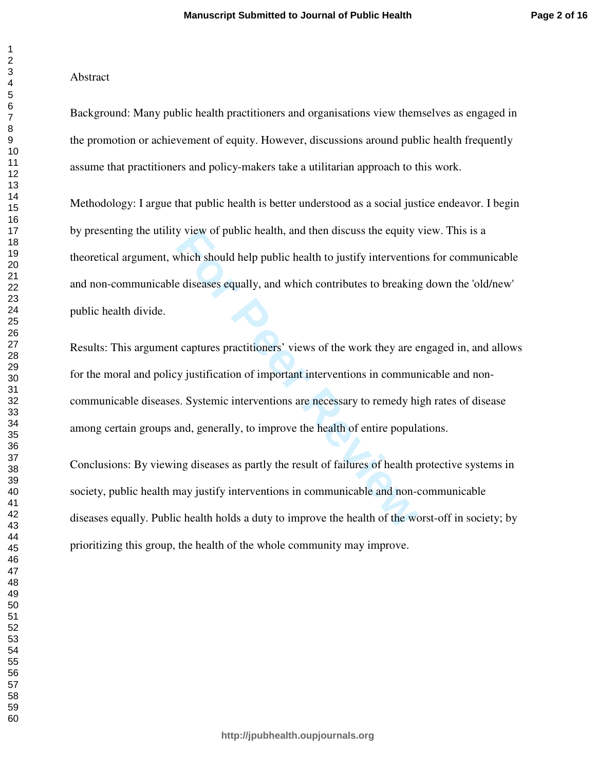## Abstract

Background: Many public health practitioners and organisations view themselves as engaged in the promotion or achievement of equity. However, discussions around public health frequently assume that practitioners and policy-makers take a utilitarian approach to this work.

Methodology: I argue that public health is better understood as a social justice endeavor. I begin by presenting the utility view of public health, and then discuss the equity view. This is a theoretical argument, which should help public health to justify interventions for communicable and non-communicable diseases equally, and which contributes to breaking down the 'old/new' public health divide.

For Public health, and then discuss the equity<br>
which should help public health to justify intervention<br>
e diseases equally, and which contributes to breaking<br>
t captures practitioners' views of the work they are exponenti Results: This argument captures practitioners' views of the work they are engaged in, and allows for the moral and policy justification of important interventions in communicable and noncommunicable diseases. Systemic interventions are necessary to remedy high rates of disease among certain groups and, generally, to improve the health of entire populations.

Conclusions: By viewing diseases as partly the result of failures of health protective systems in society, public health may justify interventions in communicable and non-communicable diseases equally. Public health holds a duty to improve the health of the worst-off in society; by prioritizing this group, the health of the whole community may improve.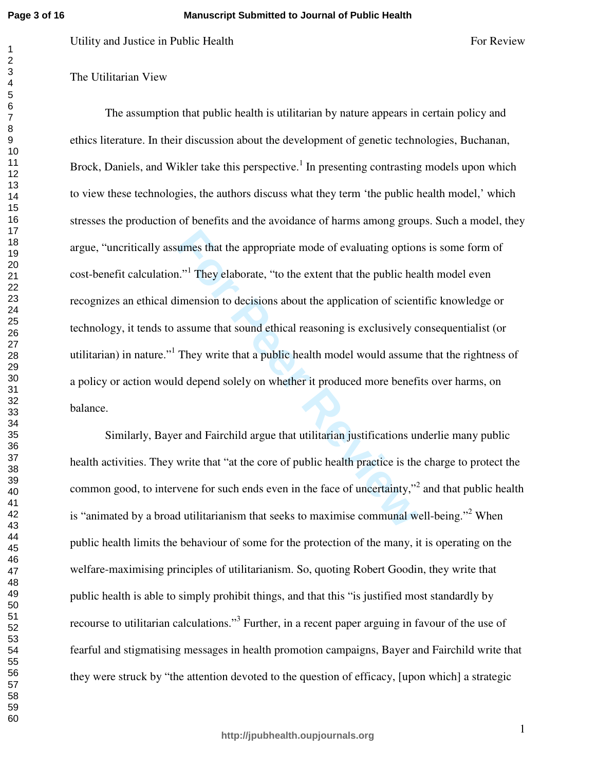The Utilitarian View

state the appropriate mode of evaluating option<br>
1.<sup>11</sup> They elaborate, "to the extent that the public head<br>
imension to decisions about the application of scient<br>
assume that sound ethical reasoning is exclusively corpora Evility and Justices in Public Health <br>
For Review<br>
The assumption that public health<br>
The assumption that public health is suitlineiun by nature appears in certain policy and<br>
The assumption that public health is suitline The assumption that public health is utilitarian by nature appears in certain policy and ethics literature. In their discussion about the development of genetic technologies, Buchanan, Brock, Daniels, and Wikler take this perspective.<sup>1</sup> In presenting contrasting models upon which to view these technologies, the authors discuss what they term 'the public health model,' which stresses the production of benefits and the avoidance of harms among groups. Such a model, they argue, "uncritically assumes that the appropriate mode of evaluating options is some form of cost-benefit calculation."<sup>1</sup> They elaborate, "to the extent that the public health model even recognizes an ethical dimension to decisions about the application of scientific knowledge or technology, it tends to assume that sound ethical reasoning is exclusively consequentialist (or utilitarian) in nature."<sup>1</sup> They write that a public health model would assume that the rightness of a policy or action would depend solely on whether it produced more benefits over harms, on balance.

Similarly, Bayer and Fairchild argue that utilitarian justifications underlie many public health activities. They write that "at the core of public health practice is the charge to protect the common good, to intervene for such ends even in the face of uncertainty,"<sup>2</sup> and that public health is "animated by a broad utilitarianism that seeks to maximise communal well-being."<sup>2</sup> When public health limits the behaviour of some for the protection of the many, it is operating on the welfare-maximising principles of utilitarianism. So, quoting Robert Goodin, they write that public health is able to simply prohibit things, and that this "is justified most standardly by recourse to utilitarian calculations."<sup>3</sup> Further, in a recent paper arguing in favour of the use of fearful and stigmatising messages in health promotion campaigns, Bayer and Fairchild write that they were struck by "the attention devoted to the question of efficacy, [upon which] a strategic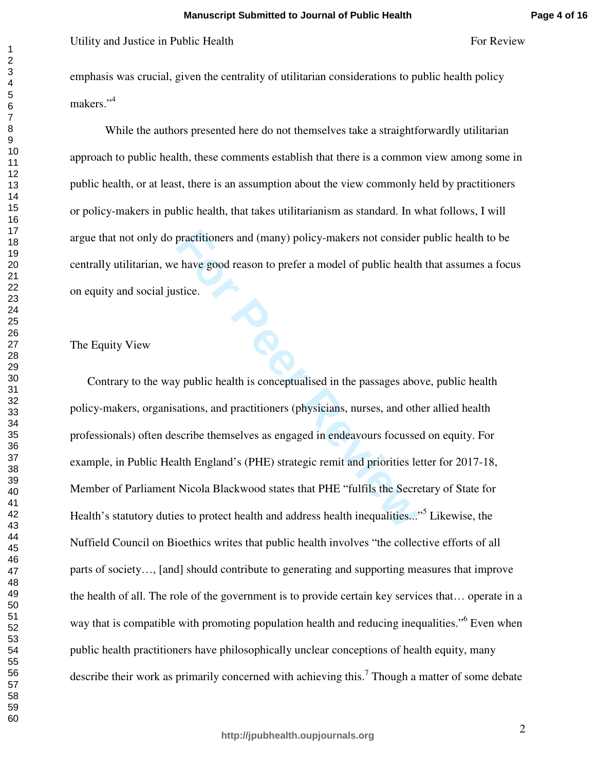emphasis was crucial, given the centrality of utilitarian considerations to public health policy makers."<sup>4</sup>

While the authors presented here do not themselves take a straightforwardly utilitarian approach to public health, these comments establish that there is a common view among some in public health, or at least, there is an assumption about the view commonly held by practitioners or policy-makers in public health, that takes utilitarianism as standard. In what follows, I will argue that not only do practitioners and (many) policy-makers not consider public health to be centrally utilitarian, we have good reason to prefer a model of public health that assumes a focus on equity and social justice.

## The Equity View

practitioners and (many) policy-makers not consider<br>
E have good reason to prefer a model of public health<br>
stice.<br> **For Peer Reviews** as engaged in the passages abo<br>
ations, and practitioners (physicians, nurses, and oth<br> For Review<br>For Review For Public Health<br>For Review englassis was crucial, given the centrality of otilitarian considerations to public health policy<br>emphasis was crucial, given the centrality of otilitarian considerations Contrary to the way public health is conceptualised in the passages above, public health policy-makers, organisations, and practitioners (physicians, nurses, and other allied health professionals) often describe themselves as engaged in endeavours focussed on equity. For example, in Public Health England's (PHE) strategic remit and priorities letter for 2017-18, Member of Parliament Nicola Blackwood states that PHE "fulfils the Secretary of State for Health's statutory duties to protect health and address health inequalities..."<sup>5</sup> Likewise, the Nuffield Council on Bioethics writes that public health involves "the collective efforts of all parts of society…, [and] should contribute to generating and supporting measures that improve the health of all. The role of the government is to provide certain key services that… operate in a way that is compatible with promoting population health and reducing inequalities."<sup>6</sup> Even when public health practitioners have philosophically unclear conceptions of health equity, many describe their work as primarily concerned with achieving this.<sup>7</sup> Though a matter of some debate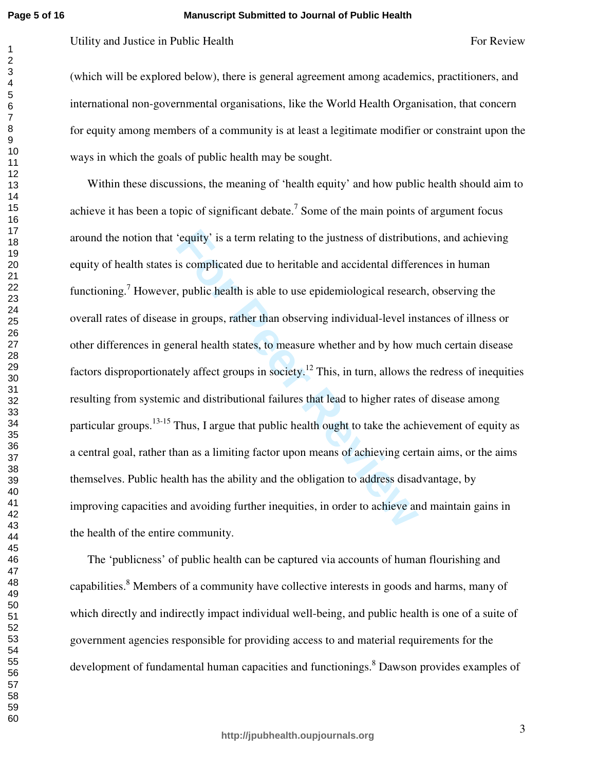**Page 5 of 16**

### **Manuscript Submitted to Journal of Public Health**

(which will be explored below), there is general agreement among academics, practitioners, and international non-governmental organisations, like the World Health Organisation, that concern for equity among members of a community is at least a legitimate modifier or constraint upon the ways in which the goals of public health may be sought.

'equity' is a term relating to the justness of distributi<br>is complicated due to heritable and accidental differe<br>, public health is able to use epidemiological researc<br>in groups, rather than observing individual-level ins<br> Evaluations in Public Health For Review For Review For Review For Review (which will be explored below), there is general agreement among avadenties, proditionens, and intermitional non-governmental organisations, like the Within these discussions, the meaning of 'health equity' and how public health should aim to achieve it has been a topic of significant debate.<sup>7</sup> Some of the main points of argument focus around the notion that 'equity' is a term relating to the justness of distributions, and achieving equity of health states is complicated due to heritable and accidental differences in human functioning.<sup>7</sup> However, public health is able to use epidemiological research, observing the overall rates of disease in groups, rather than observing individual-level instances of illness or other differences in general health states, to measure whether and by how much certain disease factors disproportionately affect groups in society.<sup>12</sup> This, in turn, allows the redress of inequities resulting from systemic and distributional failures that lead to higher rates of disease among particular groups.<sup>13-15</sup> Thus, I argue that public health ought to take the achievement of equity as a central goal, rather than as a limiting factor upon means of achieving certain aims, or the aims themselves. Public health has the ability and the obligation to address disadvantage, by improving capacities and avoiding further inequities, in order to achieve and maintain gains in the health of the entire community.

The 'publicness' of public health can be captured via accounts of human flourishing and capabilities.<sup>8</sup> Members of a community have collective interests in goods and harms, many of which directly and indirectly impact individual well-being, and public health is one of a suite of government agencies responsible for providing access to and material requirements for the development of fundamental human capacities and functionings.<sup>8</sup> Dawson provides examples of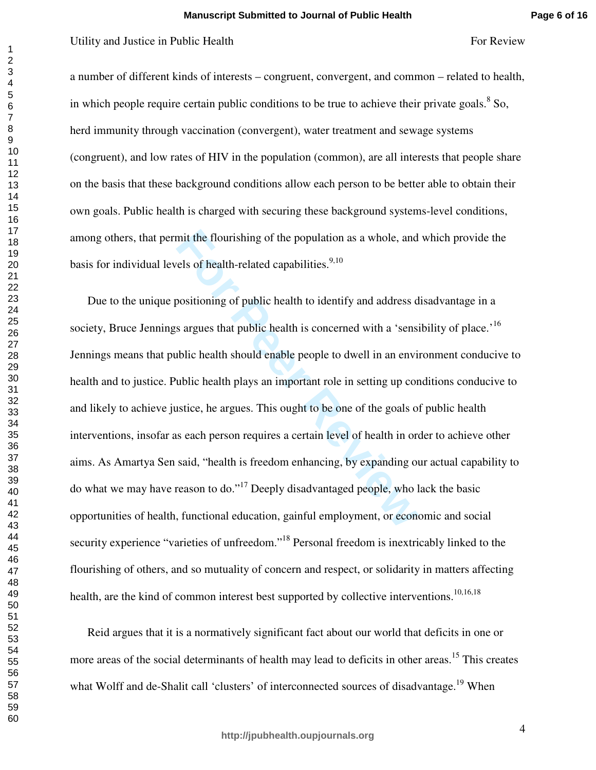a number of different kinds of interests – congruent, convergent, and common – related to health, in which people require certain public conditions to be true to achieve their private goals.  $8$  So, herd immunity through vaccination (convergent), water treatment and sewage systems (congruent), and low rates of HIV in the population (common), are all interests that people share on the basis that these background conditions allow each person to be better able to obtain their own goals. Public health is charged with securing these background systems-level conditions, among others, that permit the flourishing of the population as a whole, and which provide the basis for individual levels of health-related capabilities.<sup>9,10</sup>

mit the flourishing of the population as a whole, and<br>rels of health-related capabilities.<sup>9,10</sup><br>positioning of public health to identify and address d<br>s argues that public health is concerned with a 'sensi-<br>public health For Review and Justices in Public Health  $\mu$ For Review 6 and the Utility and Justice in Public Of different kinds of interests – congruent, convergent, and community related to health, in which people require certain pub Due to the unique positioning of public health to identify and address disadvantage in a society, Bruce Jennings argues that public health is concerned with a 'sensibility of place.'<sup>16</sup> Jennings means that public health should enable people to dwell in an environment conducive to health and to justice. Public health plays an important role in setting up conditions conducive to and likely to achieve justice, he argues. This ought to be one of the goals of public health interventions, insofar as each person requires a certain level of health in order to achieve other aims. As Amartya Sen said, "health is freedom enhancing, by expanding our actual capability to do what we may have reason to do."<sup>17</sup> Deeply disadvantaged people, who lack the basic opportunities of health, functional education, gainful employment, or economic and social security experience "varieties of unfreedom."<sup>18</sup> Personal freedom is inextricably linked to the flourishing of others, and so mutuality of concern and respect, or solidarity in matters affecting health, are the kind of common interest best supported by collective interventions.<sup>10,16,18</sup>

Reid argues that it is a normatively significant fact about our world that deficits in one or more areas of the social determinants of health may lead to deficits in other areas.<sup>15</sup> This creates what Wolff and de-Shalit call 'clusters' of interconnected sources of disadvantage.<sup>19</sup> When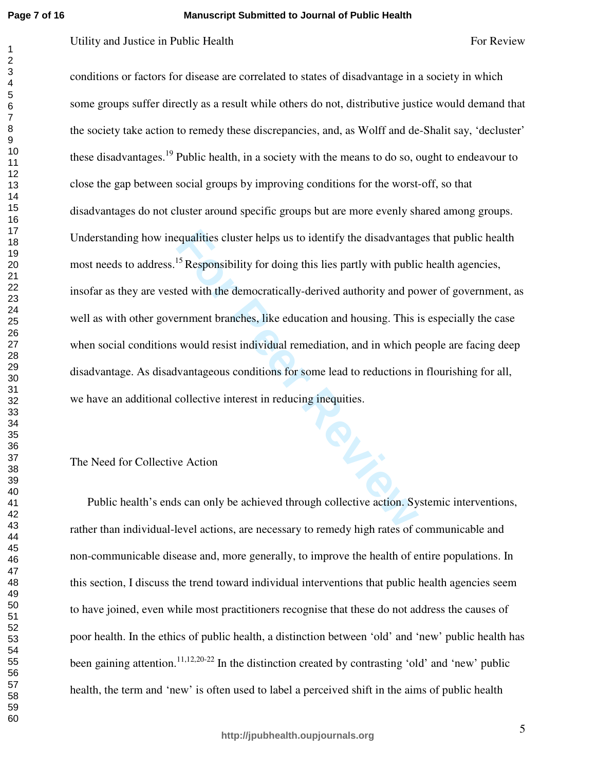$\mathbf{1}$ 

### **Manuscript Submitted to Journal of Public Health**

Equalities cluster helps us to identify the disadvantage<br>
<sup>15</sup> Responsibility for doing this lies partly with public<br>
red with the democratically-derived authority and po<br>
Frament branches, like education and housing. This For Review<br>For Review<br>For Review<br>Totalisms or factors for disense are correlated to states of disacbuatage in a society in which<br>some groups suffer directly as a result while others do not, distributive justice would derma conditions or factors for disease are correlated to states of disadvantage in a society in which some groups suffer directly as a result while others do not, distributive justice would demand that the society take action to remedy these discrepancies, and, as Wolff and de-Shalit say, 'decluster' these disadvantages.<sup>19</sup> Public health, in a society with the means to do so, ought to endeavour to close the gap between social groups by improving conditions for the worst-off, so that disadvantages do not cluster around specific groups but are more evenly shared among groups. Understanding how inequalities cluster helps us to identify the disadvantages that public health most needs to address.<sup>15</sup> Responsibility for doing this lies partly with public health agencies, insofar as they are vested with the democratically-derived authority and power of government, as well as with other government branches, like education and housing. This is especially the case when social conditions would resist individual remediation, and in which people are facing deep disadvantage. As disadvantageous conditions for some lead to reductions in flourishing for all, we have an additional collective interest in reducing inequities.

## The Need for Collective Action

Public health's ends can only be achieved through collective action. Systemic interventions, rather than individual-level actions, are necessary to remedy high rates of communicable and non-communicable disease and, more generally, to improve the health of entire populations. In this section, I discuss the trend toward individual interventions that public health agencies seem to have joined, even while most practitioners recognise that these do not address the causes of poor health. In the ethics of public health, a distinction between 'old' and 'new' public health has been gaining attention.<sup>11,12,20-22</sup> In the distinction created by contrasting 'old' and 'new' public health, the term and 'new' is often used to label a perceived shift in the aims of public health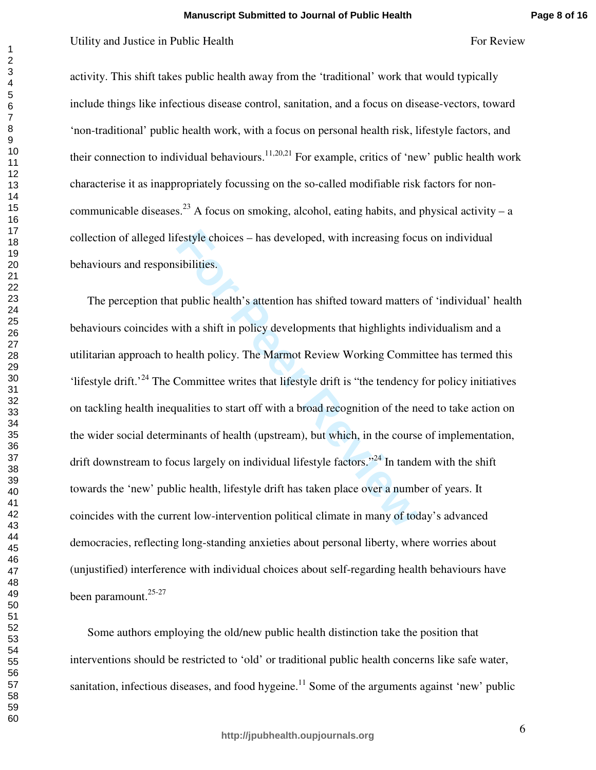activity. This shift takes public health away from the 'traditional' work that would typically include things like infectious disease control, sanitation, and a focus on disease-vectors, toward 'non-traditional' public health work, with a focus on personal health risk, lifestyle factors, and their connection to individual behaviours.<sup>11,20,21</sup> For example, critics of 'new' public health work characterise it as inappropriately focussing on the so-called modifiable risk factors for noncommunicable diseases.<sup>23</sup> A focus on smoking, alcohol, eating habits, and physical activity – a collection of alleged lifestyle choices – has developed, with increasing focus on individual behaviours and responsibilities.

festyle choices – has developed, with increasing foct<br>sibilities.<br>t public health's attention has shifted toward matters<br>with a shift in policy developments that highlights in<br>health policy. The Marmot Review Working Comm<br> For Review For Public Health For the Vision For Review For Review (and the Vision of Vision Control of the Vision Control of the Vision Control of the Vision Control of the Mercian State of the Mercian State Engine Control The perception that public health's attention has shifted toward matters of 'individual' health behaviours coincides with a shift in policy developments that highlights individualism and a utilitarian approach to health policy. The Marmot Review Working Committee has termed this 'lifestyle drift.'<sup>24</sup> The Committee writes that lifestyle drift is "the tendency for policy initiatives on tackling health inequalities to start off with a broad recognition of the need to take action on the wider social determinants of health (upstream), but which, in the course of implementation, drift downstream to focus largely on individual lifestyle factors."<sup>24</sup> In tandem with the shift towards the 'new' public health, lifestyle drift has taken place over a number of years. It coincides with the current low-intervention political climate in many of today's advanced democracies, reflecting long-standing anxieties about personal liberty, where worries about (unjustified) interference with individual choices about self-regarding health behaviours have been paramount.<sup>25-27</sup>

Some authors employing the old/new public health distinction take the position that interventions should be restricted to 'old' or traditional public health concerns like safe water, sanitation, infectious diseases, and food hygeine.<sup>11</sup> Some of the arguments against 'new' public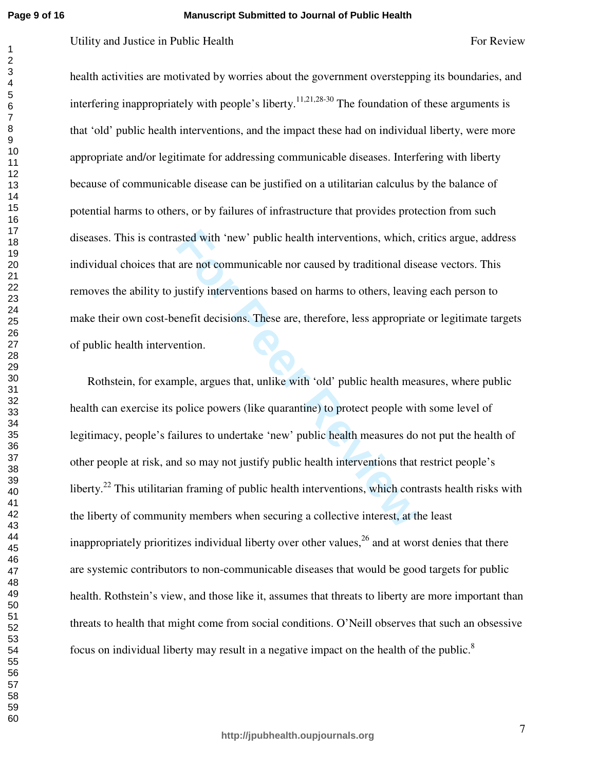### **Manuscript Submitted to Journal of Public Health**

health activities are motivated by worries about the government overstepping its boundaries, and interfering inappropriately with people's liberty.<sup>11,21,28-30</sup> The foundation of these arguments is that 'old' public health interventions, and the impact these had on individual liberty, were more appropriate and/or legitimate for addressing communicable diseases. Interfering with liberty because of communicable disease can be justified on a utilitarian calculus by the balance of potential harms to others, or by failures of infrastructure that provides protection from such diseases. This is contrasted with 'new' public health interventions, which, critics argue, address individual choices that are not communicable nor caused by traditional disease vectors. This removes the ability to justify interventions based on harms to others, leaving each person to make their own cost-benefit decisions. These are, therefore, less appropriate or legitimate targets of public health intervention.

Interval with 'new' public health interventions, which, are not communicable nor caused by traditional disquasitify interventions based on harms to others, leavire mefit decisions. These are, therefore, less appropriate me For Review For Public Health For Review For Review For Review For Review For Review For Review For Review For Review For Review For Review For Review For Review For Review For Review For Review 7.23.8.<sup>46</sup> The Foundation o Rothstein, for example, argues that, unlike with 'old' public health measures, where public health can exercise its police powers (like quarantine) to protect people with some level of legitimacy, people's failures to undertake 'new' public health measures do not put the health of other people at risk, and so may not justify public health interventions that restrict people's liberty.<sup>22</sup> This utilitarian framing of public health interventions, which contrasts health risks with the liberty of community members when securing a collective interest, at the least inappropriately prioritizes individual liberty over other values,  $^{26}$  and at worst denies that there are systemic contributors to non-communicable diseases that would be good targets for public health. Rothstein's view, and those like it, assumes that threats to liberty are more important than threats to health that might come from social conditions. O'Neill observes that such an obsessive focus on individual liberty may result in a negative impact on the health of the public.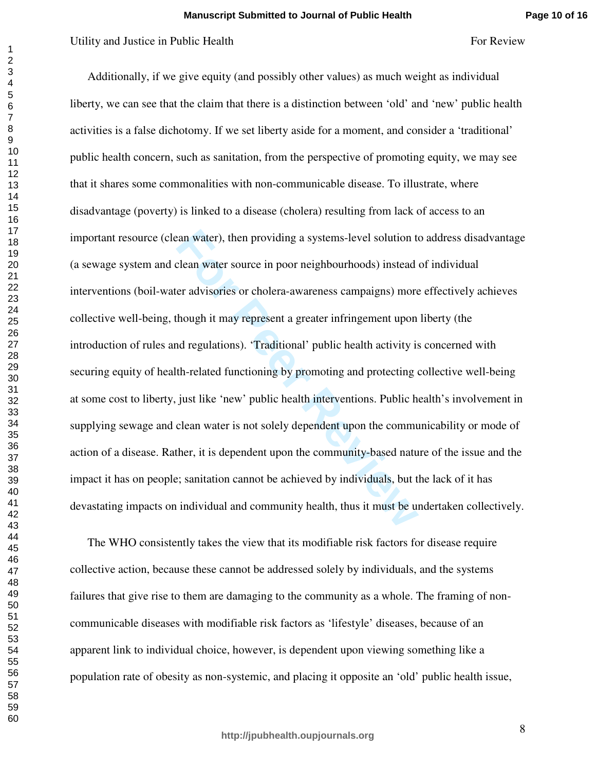Framewater), then providing a systems-level solution to<br>clean water source in poor neighbourhoods) instead<br>er advisories or cholera-awareness campaigns) more<br>though it may represent a greater infringement upon<br>nd regulatio For Review Total the Health For Existem For Review Collective and Justice in Public Health Sixty, we can see that the chain that there is a distinction between 'odd' and 'arew' politic health Eiersty, we can see that the c Additionally, if we give equity (and possibly other values) as much weight as individual liberty, we can see that the claim that there is a distinction between 'old' and 'new' public health activities is a false dichotomy. If we set liberty aside for a moment, and consider a 'traditional' public health concern, such as sanitation, from the perspective of promoting equity, we may see that it shares some commonalities with non-communicable disease. To illustrate, where disadvantage (poverty) is linked to a disease (cholera) resulting from lack of access to an important resource (clean water), then providing a systems-level solution to address disadvantage (a sewage system and clean water source in poor neighbourhoods) instead of individual interventions (boil-water advisories or cholera-awareness campaigns) more effectively achieves collective well-being, though it may represent a greater infringement upon liberty (the introduction of rules and regulations). 'Traditional' public health activity is concerned with securing equity of health-related functioning by promoting and protecting collective well-being at some cost to liberty, just like 'new' public health interventions. Public health's involvement in supplying sewage and clean water is not solely dependent upon the communicability or mode of action of a disease. Rather, it is dependent upon the community-based nature of the issue and the impact it has on people; sanitation cannot be achieved by individuals, but the lack of it has devastating impacts on individual and community health, thus it must be undertaken collectively.

The WHO consistently takes the view that its modifiable risk factors for disease require collective action, because these cannot be addressed solely by individuals, and the systems failures that give rise to them are damaging to the community as a whole. The framing of noncommunicable diseases with modifiable risk factors as 'lifestyle' diseases, because of an apparent link to individual choice, however, is dependent upon viewing something like a population rate of obesity as non-systemic, and placing it opposite an 'old' public health issue,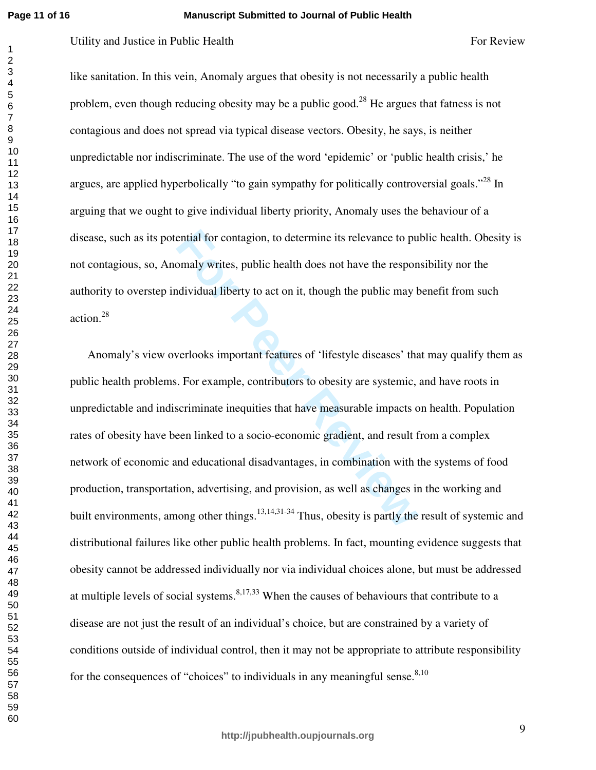**Page 11 of 16**

### **Manuscript Submitted to Journal of Public Health**

like sanitation. In this vein, Anomaly argues that obesity is not necessarily a public health problem, even though reducing obesity may be a public good.<sup>28</sup> He argues that fatness is not contagious and does not spread via typical disease vectors. Obesity, he says, is neither unpredictable nor indiscriminate. The use of the word 'epidemic' or 'public health crisis,' he argues, are applied hyperbolically "to gain sympathy for politically controversial goals."<sup>28</sup> In arguing that we ought to give individual liberty priority, Anomaly uses the behaviour of a disease, such as its potential for contagion, to determine its relevance to public health. Obesity is not contagious, so, Anomaly writes, public health does not have the responsibility nor the authority to overstep individual liberty to act on it, though the public may benefit from such action.<sup>28</sup>

ential for contagion, to determine its relevance to pu<br>
bomaly writes, public health does not have the respon<br>
ddividual liberty to act on it, though the public may b<br>
verlooks important features of 'lifestyle diseases' th For Review For Public Health For Review For Review For Review For Review like santation. In this vein, Anontaly argues that doesity is not necessarily a public health problem, even though reducing obesity may be a public Anomaly's view overlooks important features of 'lifestyle diseases' that may qualify them as public health problems. For example, contributors to obesity are systemic, and have roots in unpredictable and indiscriminate inequities that have measurable impacts on health. Population rates of obesity have been linked to a socio-economic gradient, and result from a complex network of economic and educational disadvantages, in combination with the systems of food production, transportation, advertising, and provision, as well as changes in the working and built environments, among other things.<sup>13,14,31-34</sup> Thus, obesity is partly the result of systemic and distributional failures like other public health problems. In fact, mounting evidence suggests that obesity cannot be addressed individually nor via individual choices alone, but must be addressed at multiple levels of social systems.<sup>8,17,33</sup> When the causes of behaviours that contribute to a disease are not just the result of an individual's choice, but are constrained by a variety of conditions outside of individual control, then it may not be appropriate to attribute responsibility for the consequences of "choices" to individuals in any meaningful sense.  $8,10$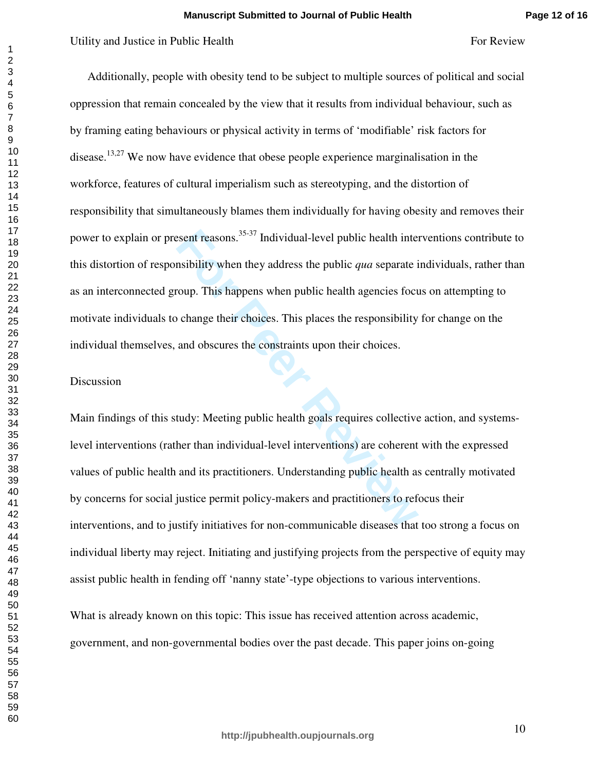# Utility and Justice in Public Health Formula and Theorem Formula Review Formula Review Formula Review Formula Review Formula Review Formula Review Formula Review Formula Review Review Review Review Review Review Review Rev

Exent reasons.<sup>35-37</sup> Individual-level public health internsibility when they address the public *qua* separate is<br>roup. This happens when public health agencies foct<br>o change their choices. This places the responsibility<br> Additionally, people with obesity tend to be subject to multiple sources of political and social oppression that remain concealed by the view that it results from individual behaviour, such as by framing eating behaviours or physical activity in terms of 'modifiable' risk factors for disease.<sup>13,27</sup> We now have evidence that obese people experience marginalisation in the workforce, features of cultural imperialism such as stereotyping, and the distortion of responsibility that simultaneously blames them individually for having obesity and removes their power to explain or present reasons.35-37 Individual-level public health interventions contribute to this distortion of responsibility when they address the public *qua* separate individuals, rather than as an interconnected group. This happens when public health agencies focus on attempting to motivate individuals to change their choices. This places the responsibility for change on the individual themselves, and obscures the constraints upon their choices.

# Discussion

Main findings of this study: Meeting public health goals requires collective action, and systemslevel interventions (rather than individual-level interventions) are coherent with the expressed values of public health and its practitioners. Understanding public health as centrally motivated by concerns for social justice permit policy-makers and practitioners to refocus their interventions, and to justify initiatives for non-communicable diseases that too strong a focus on individual liberty may reject. Initiating and justifying projects from the perspective of equity may assist public health in fending off 'nanny state'-type objections to various interventions.

What is already known on this topic: This issue has received attention across academic, government, and non-governmental bodies over the past decade. This paper joins on-going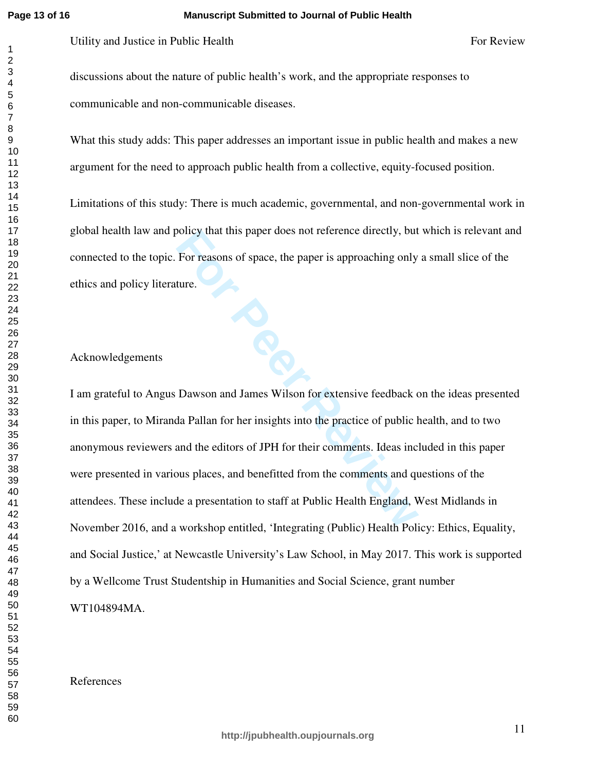$\mathbf{1}$  $\overline{2}$ 

### **Manuscript Submitted to Journal of Public Health**

Utility and Justice in Public Health Formula and Theorem For Review For Review For Review

discussions about the nature of public health's work, and the appropriate responses to communicable and non-communicable diseases.

What this study adds: This paper addresses an important issue in public health and makes a new argument for the need to approach public health from a collective, equity-focused position.

Limitations of this study: There is much academic, governmental, and non-governmental work in global health law and policy that this paper does not reference directly, but which is relevant and connected to the topic. For reasons of space, the paper is approaching only a small slice of the ethics and policy literature.

## Acknowledgements

For reasons of space, the paper is approaching only<br>
For reasons of space, the paper is approaching only<br>
ture.<br>
Dawson and James Wilson for extensive feedback c<br>
da Pallan for her insights into the practice of public l<br>
a I am grateful to Angus Dawson and James Wilson for extensive feedback on the ideas presented in this paper, to Miranda Pallan for her insights into the practice of public health, and to two anonymous reviewers and the editors of JPH for their comments. Ideas included in this paper were presented in various places, and benefitted from the comments and questions of the attendees. These include a presentation to staff at Public Health England, West Midlands in November 2016, and a workshop entitled, 'Integrating (Public) Health Policy: Ethics, Equality, and Social Justice,' at Newcastle University's Law School, in May 2017. This work is supported by a Wellcome Trust Studentship in Humanities and Social Science, grant number WT104894MA.

# References

**http://jpubhealth.oupjournals.org**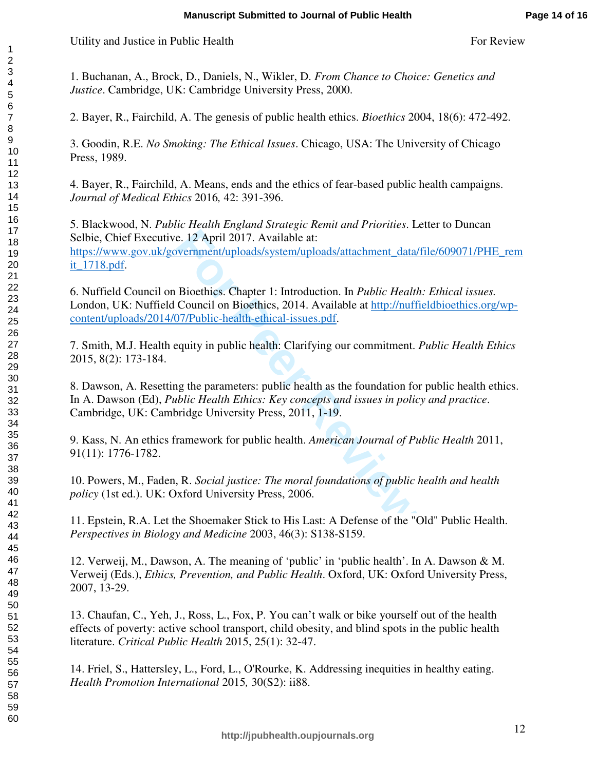Utility and Justice in Public Health Formula and The Poster Review For Review For Review

1. Buchanan, A., Brock, D., Daniels, N., Wikler, D. *From Chance to Choice: Genetics and Justice*. Cambridge, UK: Cambridge University Press, 2000.

2. Bayer, R., Fairchild, A. The genesis of public health ethics. *Bioethics* 2004, 18(6): 472-492.

3. Goodin, R.E. *No Smoking: The Ethical Issues*. Chicago, USA: The University of Chicago Press, 1989.

4. Bayer, R., Fairchild, A. Means, ends and the ethics of fear-based public health campaigns. *Journal of Medical Ethics* 2016*,* 42: 391-396.

e. 12 April 2017. Available at:<br>
wernment/uploads/system/uploads/attachment data/<br>
Bioethics. Chapter 1: Introduction. In *Public Healtl*<br>
Council on Bioethics, 2014. Available at <u>http://nuff</u><br>
77/Public-health-ethical-is 5. Blackwood, N. *Public Health England Strategic Remit and Prioritie s*. Letter to Duncan Selbie, Chief Executive. 12 April 2017. Available at: https://www.gov.uk/government/uploads/system/uploads/attachment\_data/file/609071/PHE\_rem it\_1718.pdf.

6. Nuffield Council on Bioethics. Chapter 1: Introduction. In *Public Health: Ethical issues.* London, UK: Nuffield Council on Bioethics, 2014. Available at http://nuffieldbioethics.org/wpcontent/uploads/2014/07/Public-health-ethical-issues.pdf.

7. Smith, M.J. Health equity in public health: Clarifying our commitment. *Public Health Ethics*  2015, 8(2): 173-184.

8. Dawson, A. Resetting the parameters: public health as the foundation for public health ethics. In A. Dawson (Ed), *Public Health Ethics: Key concepts and issues in policy and practice*. Cambridge, UK: Cambridge University Press, 2011, 1-19.

9. Kass, N. An ethics framework for public health. *American Journal of Public Health* 2011, 91(11): 1776-1782.

10. Powers, M., Faden, R. *Social justice: The moral foundations of public health and health policy* (1st ed.). UK: Oxford University Press, 2006.

11. Epstein, R.A. Let the Shoemaker Stick to His Last: A Defense of the "Old" Public Health. *Perspectives in Biology and Medicine* 2003, 46(3): S138-S159.

12. Verweij, M., Dawson, A. The meaning of 'public' in 'public health'. In A. Dawson & M. Verweij (Eds.), *Ethics, Prevention, and Public Health*. Oxford, UK: Oxford University Press, 2007, 13-29.

13. Chaufan, C., Yeh, J., Ross, L., Fox, P. You can't walk or bike yourself out of the health effects of poverty: active school transport, child obesity, and blind spots in the public health literature. *Critical Public Health* 2015, 25(1): 32-47.

14. Friel, S., Hattersley, L., Ford, L., O'Rourke, K. Addressing inequities in healthy eating. *Health Promotion International* 2015*,* 30(S2): ii88.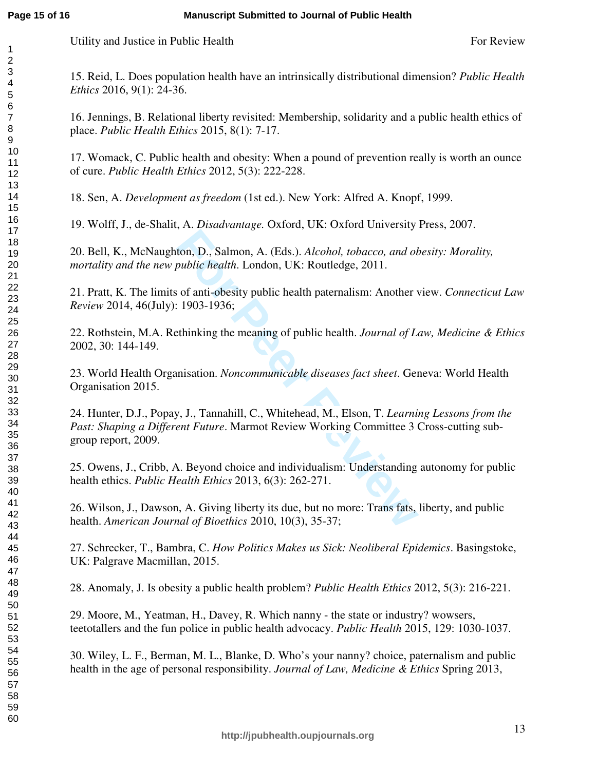Utility and Justice in Public Health Formula and Theorem Formula Review For Review Formula Review Formula Review

15. Reid, L. Does population health have an intrinsically distributional dimension? *Public Health Ethics* 2016, 9(1): 24-36.

16. Jennings, B. Relational liberty revisited: Membership, solidarity and a public health ethics of place. *Public Health Ethics* 2015, 8(1): 7-17.

17. Womack, C. Public health and obesity: When a pound of prevention really is worth an ounce of cure. *Public Health Ethics* 2012, 5(3): 222-228.

18. Sen, A. *Development as freedom* (1st ed.). New York: Alfred A. Knopf, 1999.

19. Wolff, J., de-Shalit, A. *Disadvantage.* Oxford, UK: Oxford University Press, 2007.

20. Bell, K., McNaughton, D., Salmon, A. (Eds.). *Alcohol, tobacco, and obesity: Morality, mortality and the new public health*. London, UK: Routledge, 2011.

21. Pratt, K. The limits of anti-obesity public health paternalism: Another view. *Connecticut Law Review* 2014, 46(July): 1903-1936;

22. Rothstein, M.A. Rethinking the meaning of public health. *Journal of Law, Medicine & Ethics*  2002, 30: 144-149.

23. World Health Organisation. *Noncommunicable diseases fact sheet*. Geneva: World Health Organisation 2015.

For P., Salmon, A. (Eds.). *Alcohol, tobacco, and obtablic health*. London, UK: Routledge, 2011.<br>
For anti-obesity public health paternalism: Another v.<br>
1903-1936;<br>
Ethinking the meaning of public health. *Journal of La*<br> 24. Hunter, D.J., Popay, J., Tannahill, C., Whitehead, M., Elson, T. *Learning Lessons from the Past: Shaping a Different Future*. Marmot Review Working Committee 3 Cross-cutting subgroup report, 2009.

25. Owens, J., Cribb, A. Beyond choice and individualism: Understanding autonomy for public health ethics. *Public Health Ethics* 2013, 6(3): 262-271.

26. Wilson, J., Dawson, A. Giving liberty its due, but no more: Trans fats, liberty, and public health. *American Journal of Bioethics* 2010, 10(3), 35-37;

27. Schrecker, T., Bambra, C. *How Politics Makes us Sick: Neoliberal Epidemics*. Basingstoke, UK: Palgrave Macmillan, 2015.

28. Anomaly, J. Is obesity a public health problem? *Public Health Ethics* 2012, 5(3): 216-221.

29. Moore, M., Yeatman, H., Davey, R. Which nanny - the state or industry? wowsers, teetotallers and the fun police in public health advocacy. *Public Health* 2015, 129: 1030-1037.

30. Wiley, L. F., Berman, M. L., Blanke, D. Who's your nanny? choice, paternalism and public health in the age of personal responsibility. *Journal of Law, Medicine & Ethics* Spring 2013,